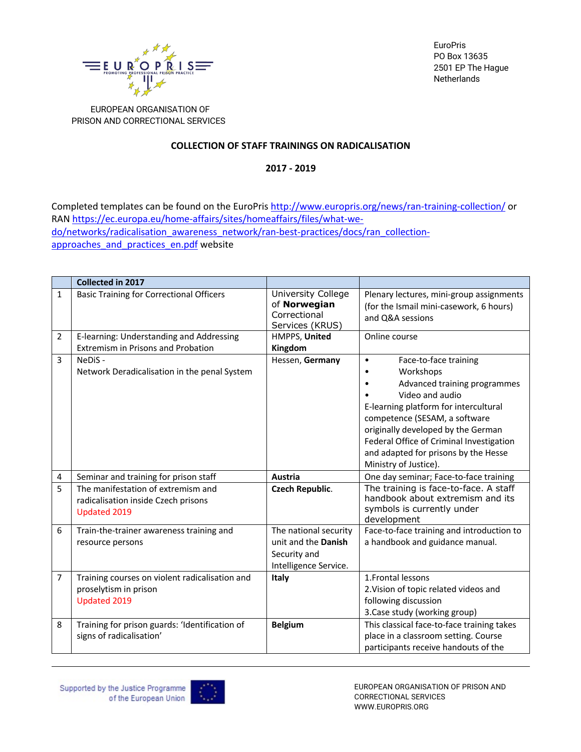

**EuroPris** PO Box 13635 2501 EP The Hague Netherlands

 EUROPEAN ORGANISATION OF PRISON AND CORRECTIONAL SERVICES

## **COLLECTION OF STAFF TRAININGS ON RADICALISATION**

**2017 - 2019**

Completed templates can be found on the EuroPris http://www.europris.org/news/ran-training-collection/ or RAN https://ec.europa.eu/home-affairs/sites/homeaffairs/files/what-wedo/networks/radicalisation\_awareness\_network/ran-best-practices/docs/ran\_collectionapproaches and practices en.pdf website

|                | Collected in 2017                                                                         |                                                                                       |                                                                                                                                                                                                                                                                                                                                 |
|----------------|-------------------------------------------------------------------------------------------|---------------------------------------------------------------------------------------|---------------------------------------------------------------------------------------------------------------------------------------------------------------------------------------------------------------------------------------------------------------------------------------------------------------------------------|
| $\mathbf{1}$   | <b>Basic Training for Correctional Officers</b>                                           | University College<br>of Norwegian<br>Correctional<br>Services (KRUS)                 | Plenary lectures, mini-group assignments<br>(for the Ismail mini-casework, 6 hours)<br>and Q&A sessions                                                                                                                                                                                                                         |
| 2              | E-learning: Understanding and Addressing                                                  | HMPPS, United                                                                         | Online course                                                                                                                                                                                                                                                                                                                   |
|                | <b>Extremism in Prisons and Probation</b>                                                 | Kingdom                                                                               |                                                                                                                                                                                                                                                                                                                                 |
| $\overline{3}$ | NeDiS-<br>Network Deradicalisation in the penal System                                    | Hessen, Germany                                                                       | Face-to-face training<br>$\bullet$<br>Workshops<br>Advanced training programmes<br>Video and audio<br>E-learning platform for intercultural<br>competence (SESAM, a software<br>originally developed by the German<br>Federal Office of Criminal Investigation<br>and adapted for prisons by the Hesse<br>Ministry of Justice). |
| 4              | Seminar and training for prison staff                                                     | Austria                                                                               | One day seminar; Face-to-face training                                                                                                                                                                                                                                                                                          |
| 5              | The manifestation of extremism and<br>radicalisation inside Czech prisons<br>Updated 2019 | <b>Czech Republic.</b>                                                                | The training is face-to-face. A staff<br>handbook about extremism and its<br>symbols is currently under<br>development                                                                                                                                                                                                          |
| 6              | Train-the-trainer awareness training and<br>resource persons                              | The national security<br>unit and the Danish<br>Security and<br>Intelligence Service. | Face-to-face training and introduction to<br>a handbook and guidance manual.                                                                                                                                                                                                                                                    |
| 7              | Training courses on violent radicalisation and<br>proselytism in prison<br>Updated 2019   | Italy                                                                                 | 1. Frontal lessons<br>2. Vision of topic related videos and<br>following discussion<br>3. Case study (working group)                                                                                                                                                                                                            |
| 8              | Training for prison guards: 'Identification of<br>signs of radicalisation'                | <b>Belgium</b>                                                                        | This classical face-to-face training takes<br>place in a classroom setting. Course<br>participants receive handouts of the                                                                                                                                                                                                      |



EUROPEAN ORGANISATION OF PRISON AND CORRECTIONAL SERVICES WWW.EUROPRIS.ORG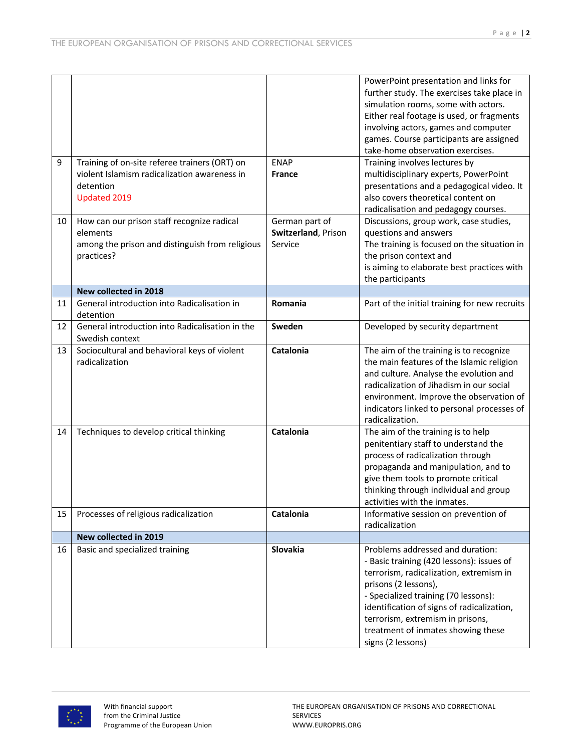|    |                                                 |                     | PowerPoint presentation and links for         |
|----|-------------------------------------------------|---------------------|-----------------------------------------------|
|    |                                                 |                     | further study. The exercises take place in    |
|    |                                                 |                     | simulation rooms, some with actors.           |
|    |                                                 |                     | Either real footage is used, or fragments     |
|    |                                                 |                     | involving actors, games and computer          |
|    |                                                 |                     | games. Course participants are assigned       |
|    |                                                 |                     | take-home observation exercises.              |
| 9  | Training of on-site referee trainers (ORT) on   | <b>ENAP</b>         | Training involves lectures by                 |
|    | violent Islamism radicalization awareness in    | <b>France</b>       |                                               |
|    |                                                 |                     | multidisciplinary experts, PowerPoint         |
|    | detention                                       |                     | presentations and a pedagogical video. It     |
|    | <b>Updated 2019</b>                             |                     | also covers theoretical content on            |
|    |                                                 |                     | radicalisation and pedagogy courses.          |
| 10 | How can our prison staff recognize radical      | German part of      | Discussions, group work, case studies,        |
|    | elements                                        | Switzerland, Prison | questions and answers                         |
|    | among the prison and distinguish from religious | Service             | The training is focused on the situation in   |
|    | practices?                                      |                     | the prison context and                        |
|    |                                                 |                     | is aiming to elaborate best practices with    |
|    |                                                 |                     | the participants                              |
|    | New collected in 2018                           |                     |                                               |
| 11 | General introduction into Radicalisation in     | Romania             | Part of the initial training for new recruits |
|    | detention                                       |                     |                                               |
| 12 | General introduction into Radicalisation in the | Sweden              | Developed by security department              |
|    | Swedish context                                 |                     |                                               |
| 13 | Sociocultural and behavioral keys of violent    | Catalonia           | The aim of the training is to recognize       |
|    | radicalization                                  |                     | the main features of the Islamic religion     |
|    |                                                 |                     | and culture. Analyse the evolution and        |
|    |                                                 |                     | radicalization of Jihadism in our social      |
|    |                                                 |                     |                                               |
|    |                                                 |                     | environment. Improve the observation of       |
|    |                                                 |                     | indicators linked to personal processes of    |
|    |                                                 |                     | radicalization.                               |
| 14 | Techniques to develop critical thinking         | Catalonia           | The aim of the training is to help            |
|    |                                                 |                     | penitentiary staff to understand the          |
|    |                                                 |                     | process of radicalization through             |
|    |                                                 |                     | propaganda and manipulation, and to           |
|    |                                                 |                     | give them tools to promote critical           |
|    |                                                 |                     | thinking through individual and group         |
|    |                                                 |                     | activities with the inmates.                  |
| 15 | Processes of religious radicalization           | Catalonia           | Informative session on prevention of          |
|    |                                                 |                     | radicalization                                |
|    | New collected in 2019                           |                     |                                               |
| 16 | Basic and specialized training                  | Slovakia            | Problems addressed and duration:              |
|    |                                                 |                     | - Basic training (420 lessons): issues of     |
|    |                                                 |                     | terrorism, radicalization, extremism in       |
|    |                                                 |                     | prisons (2 lessons),                          |
|    |                                                 |                     | - Specialized training (70 lessons):          |
|    |                                                 |                     |                                               |
|    |                                                 |                     | identification of signs of radicalization,    |
|    |                                                 |                     | terrorism, extremism in prisons,              |
|    |                                                 |                     | treatment of inmates showing these            |
|    |                                                 |                     | signs (2 lessons)                             |

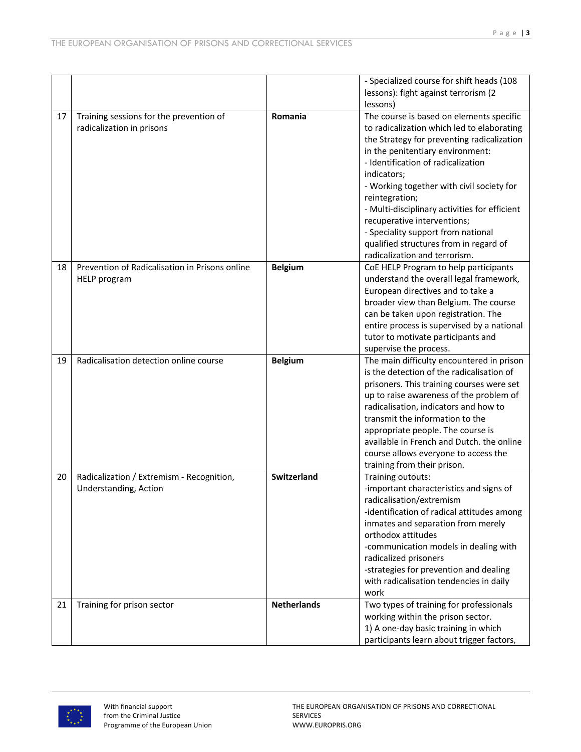| lessons): fight against terrorism (2<br>lessons)<br>Training sessions for the prevention of<br>Romania<br>The course is based on elements specific<br>17<br>radicalization in prisons<br>to radicalization which led to elaborating<br>the Strategy for preventing radicalization<br>in the penitentiary environment:<br>- Identification of radicalization<br>indicators;<br>- Working together with civil society for<br>reintegration;<br>- Multi-disciplinary activities for efficient<br>recuperative interventions;<br>- Speciality support from national<br>qualified structures from in regard of<br>radicalization and terrorism.<br>Prevention of Radicalisation in Prisons online<br><b>Belgium</b><br>CoE HELP Program to help participants<br>18<br>understand the overall legal framework,<br><b>HELP</b> program<br>European directives and to take a<br>broader view than Belgium. The course<br>can be taken upon registration. The<br>entire process is supervised by a national<br>tutor to motivate participants and<br>supervise the process.<br>Radicalisation detection online course<br>The main difficulty encountered in prison<br>19<br><b>Belgium</b><br>is the detection of the radicalisation of<br>prisoners. This training courses were set<br>up to raise awareness of the problem of<br>radicalisation, indicators and how to<br>transmit the information to the<br>appropriate people. The course is<br>available in French and Dutch. the online<br>course allows everyone to access the<br>training from their prison.<br><b>Switzerland</b><br>Training outouts:<br>Radicalization / Extremism - Recognition,<br>20<br>Understanding, Action<br>-important characteristics and signs of<br>radicalisation/extremism<br>-identification of radical attitudes among<br>inmates and separation from merely<br>orthodox attitudes<br>-communication models in dealing with<br>radicalized prisoners<br>-strategies for prevention and dealing<br>with radicalisation tendencies in daily<br>work<br><b>Netherlands</b><br>Two types of training for professionals<br>21<br>Training for prison sector<br>working within the prison sector.<br>1) A one-day basic training in which |  | - Specialized course for shift heads (108 |
|----------------------------------------------------------------------------------------------------------------------------------------------------------------------------------------------------------------------------------------------------------------------------------------------------------------------------------------------------------------------------------------------------------------------------------------------------------------------------------------------------------------------------------------------------------------------------------------------------------------------------------------------------------------------------------------------------------------------------------------------------------------------------------------------------------------------------------------------------------------------------------------------------------------------------------------------------------------------------------------------------------------------------------------------------------------------------------------------------------------------------------------------------------------------------------------------------------------------------------------------------------------------------------------------------------------------------------------------------------------------------------------------------------------------------------------------------------------------------------------------------------------------------------------------------------------------------------------------------------------------------------------------------------------------------------------------------------------------------------------------------------------------------------------------------------------------------------------------------------------------------------------------------------------------------------------------------------------------------------------------------------------------------------------------------------------------------------------------------------------------------------------------------------------------------------------------------------------------|--|-------------------------------------------|
|                                                                                                                                                                                                                                                                                                                                                                                                                                                                                                                                                                                                                                                                                                                                                                                                                                                                                                                                                                                                                                                                                                                                                                                                                                                                                                                                                                                                                                                                                                                                                                                                                                                                                                                                                                                                                                                                                                                                                                                                                                                                                                                                                                                                                      |  |                                           |
|                                                                                                                                                                                                                                                                                                                                                                                                                                                                                                                                                                                                                                                                                                                                                                                                                                                                                                                                                                                                                                                                                                                                                                                                                                                                                                                                                                                                                                                                                                                                                                                                                                                                                                                                                                                                                                                                                                                                                                                                                                                                                                                                                                                                                      |  |                                           |
|                                                                                                                                                                                                                                                                                                                                                                                                                                                                                                                                                                                                                                                                                                                                                                                                                                                                                                                                                                                                                                                                                                                                                                                                                                                                                                                                                                                                                                                                                                                                                                                                                                                                                                                                                                                                                                                                                                                                                                                                                                                                                                                                                                                                                      |  |                                           |
|                                                                                                                                                                                                                                                                                                                                                                                                                                                                                                                                                                                                                                                                                                                                                                                                                                                                                                                                                                                                                                                                                                                                                                                                                                                                                                                                                                                                                                                                                                                                                                                                                                                                                                                                                                                                                                                                                                                                                                                                                                                                                                                                                                                                                      |  |                                           |
|                                                                                                                                                                                                                                                                                                                                                                                                                                                                                                                                                                                                                                                                                                                                                                                                                                                                                                                                                                                                                                                                                                                                                                                                                                                                                                                                                                                                                                                                                                                                                                                                                                                                                                                                                                                                                                                                                                                                                                                                                                                                                                                                                                                                                      |  |                                           |
|                                                                                                                                                                                                                                                                                                                                                                                                                                                                                                                                                                                                                                                                                                                                                                                                                                                                                                                                                                                                                                                                                                                                                                                                                                                                                                                                                                                                                                                                                                                                                                                                                                                                                                                                                                                                                                                                                                                                                                                                                                                                                                                                                                                                                      |  |                                           |
|                                                                                                                                                                                                                                                                                                                                                                                                                                                                                                                                                                                                                                                                                                                                                                                                                                                                                                                                                                                                                                                                                                                                                                                                                                                                                                                                                                                                                                                                                                                                                                                                                                                                                                                                                                                                                                                                                                                                                                                                                                                                                                                                                                                                                      |  |                                           |
|                                                                                                                                                                                                                                                                                                                                                                                                                                                                                                                                                                                                                                                                                                                                                                                                                                                                                                                                                                                                                                                                                                                                                                                                                                                                                                                                                                                                                                                                                                                                                                                                                                                                                                                                                                                                                                                                                                                                                                                                                                                                                                                                                                                                                      |  |                                           |
|                                                                                                                                                                                                                                                                                                                                                                                                                                                                                                                                                                                                                                                                                                                                                                                                                                                                                                                                                                                                                                                                                                                                                                                                                                                                                                                                                                                                                                                                                                                                                                                                                                                                                                                                                                                                                                                                                                                                                                                                                                                                                                                                                                                                                      |  |                                           |
|                                                                                                                                                                                                                                                                                                                                                                                                                                                                                                                                                                                                                                                                                                                                                                                                                                                                                                                                                                                                                                                                                                                                                                                                                                                                                                                                                                                                                                                                                                                                                                                                                                                                                                                                                                                                                                                                                                                                                                                                                                                                                                                                                                                                                      |  |                                           |
|                                                                                                                                                                                                                                                                                                                                                                                                                                                                                                                                                                                                                                                                                                                                                                                                                                                                                                                                                                                                                                                                                                                                                                                                                                                                                                                                                                                                                                                                                                                                                                                                                                                                                                                                                                                                                                                                                                                                                                                                                                                                                                                                                                                                                      |  |                                           |
|                                                                                                                                                                                                                                                                                                                                                                                                                                                                                                                                                                                                                                                                                                                                                                                                                                                                                                                                                                                                                                                                                                                                                                                                                                                                                                                                                                                                                                                                                                                                                                                                                                                                                                                                                                                                                                                                                                                                                                                                                                                                                                                                                                                                                      |  |                                           |
|                                                                                                                                                                                                                                                                                                                                                                                                                                                                                                                                                                                                                                                                                                                                                                                                                                                                                                                                                                                                                                                                                                                                                                                                                                                                                                                                                                                                                                                                                                                                                                                                                                                                                                                                                                                                                                                                                                                                                                                                                                                                                                                                                                                                                      |  |                                           |
|                                                                                                                                                                                                                                                                                                                                                                                                                                                                                                                                                                                                                                                                                                                                                                                                                                                                                                                                                                                                                                                                                                                                                                                                                                                                                                                                                                                                                                                                                                                                                                                                                                                                                                                                                                                                                                                                                                                                                                                                                                                                                                                                                                                                                      |  |                                           |
|                                                                                                                                                                                                                                                                                                                                                                                                                                                                                                                                                                                                                                                                                                                                                                                                                                                                                                                                                                                                                                                                                                                                                                                                                                                                                                                                                                                                                                                                                                                                                                                                                                                                                                                                                                                                                                                                                                                                                                                                                                                                                                                                                                                                                      |  |                                           |
|                                                                                                                                                                                                                                                                                                                                                                                                                                                                                                                                                                                                                                                                                                                                                                                                                                                                                                                                                                                                                                                                                                                                                                                                                                                                                                                                                                                                                                                                                                                                                                                                                                                                                                                                                                                                                                                                                                                                                                                                                                                                                                                                                                                                                      |  |                                           |
|                                                                                                                                                                                                                                                                                                                                                                                                                                                                                                                                                                                                                                                                                                                                                                                                                                                                                                                                                                                                                                                                                                                                                                                                                                                                                                                                                                                                                                                                                                                                                                                                                                                                                                                                                                                                                                                                                                                                                                                                                                                                                                                                                                                                                      |  |                                           |
|                                                                                                                                                                                                                                                                                                                                                                                                                                                                                                                                                                                                                                                                                                                                                                                                                                                                                                                                                                                                                                                                                                                                                                                                                                                                                                                                                                                                                                                                                                                                                                                                                                                                                                                                                                                                                                                                                                                                                                                                                                                                                                                                                                                                                      |  |                                           |
|                                                                                                                                                                                                                                                                                                                                                                                                                                                                                                                                                                                                                                                                                                                                                                                                                                                                                                                                                                                                                                                                                                                                                                                                                                                                                                                                                                                                                                                                                                                                                                                                                                                                                                                                                                                                                                                                                                                                                                                                                                                                                                                                                                                                                      |  |                                           |
|                                                                                                                                                                                                                                                                                                                                                                                                                                                                                                                                                                                                                                                                                                                                                                                                                                                                                                                                                                                                                                                                                                                                                                                                                                                                                                                                                                                                                                                                                                                                                                                                                                                                                                                                                                                                                                                                                                                                                                                                                                                                                                                                                                                                                      |  |                                           |
|                                                                                                                                                                                                                                                                                                                                                                                                                                                                                                                                                                                                                                                                                                                                                                                                                                                                                                                                                                                                                                                                                                                                                                                                                                                                                                                                                                                                                                                                                                                                                                                                                                                                                                                                                                                                                                                                                                                                                                                                                                                                                                                                                                                                                      |  |                                           |
|                                                                                                                                                                                                                                                                                                                                                                                                                                                                                                                                                                                                                                                                                                                                                                                                                                                                                                                                                                                                                                                                                                                                                                                                                                                                                                                                                                                                                                                                                                                                                                                                                                                                                                                                                                                                                                                                                                                                                                                                                                                                                                                                                                                                                      |  |                                           |
|                                                                                                                                                                                                                                                                                                                                                                                                                                                                                                                                                                                                                                                                                                                                                                                                                                                                                                                                                                                                                                                                                                                                                                                                                                                                                                                                                                                                                                                                                                                                                                                                                                                                                                                                                                                                                                                                                                                                                                                                                                                                                                                                                                                                                      |  |                                           |
|                                                                                                                                                                                                                                                                                                                                                                                                                                                                                                                                                                                                                                                                                                                                                                                                                                                                                                                                                                                                                                                                                                                                                                                                                                                                                                                                                                                                                                                                                                                                                                                                                                                                                                                                                                                                                                                                                                                                                                                                                                                                                                                                                                                                                      |  |                                           |
|                                                                                                                                                                                                                                                                                                                                                                                                                                                                                                                                                                                                                                                                                                                                                                                                                                                                                                                                                                                                                                                                                                                                                                                                                                                                                                                                                                                                                                                                                                                                                                                                                                                                                                                                                                                                                                                                                                                                                                                                                                                                                                                                                                                                                      |  |                                           |
|                                                                                                                                                                                                                                                                                                                                                                                                                                                                                                                                                                                                                                                                                                                                                                                                                                                                                                                                                                                                                                                                                                                                                                                                                                                                                                                                                                                                                                                                                                                                                                                                                                                                                                                                                                                                                                                                                                                                                                                                                                                                                                                                                                                                                      |  |                                           |
|                                                                                                                                                                                                                                                                                                                                                                                                                                                                                                                                                                                                                                                                                                                                                                                                                                                                                                                                                                                                                                                                                                                                                                                                                                                                                                                                                                                                                                                                                                                                                                                                                                                                                                                                                                                                                                                                                                                                                                                                                                                                                                                                                                                                                      |  |                                           |
|                                                                                                                                                                                                                                                                                                                                                                                                                                                                                                                                                                                                                                                                                                                                                                                                                                                                                                                                                                                                                                                                                                                                                                                                                                                                                                                                                                                                                                                                                                                                                                                                                                                                                                                                                                                                                                                                                                                                                                                                                                                                                                                                                                                                                      |  |                                           |
|                                                                                                                                                                                                                                                                                                                                                                                                                                                                                                                                                                                                                                                                                                                                                                                                                                                                                                                                                                                                                                                                                                                                                                                                                                                                                                                                                                                                                                                                                                                                                                                                                                                                                                                                                                                                                                                                                                                                                                                                                                                                                                                                                                                                                      |  |                                           |
|                                                                                                                                                                                                                                                                                                                                                                                                                                                                                                                                                                                                                                                                                                                                                                                                                                                                                                                                                                                                                                                                                                                                                                                                                                                                                                                                                                                                                                                                                                                                                                                                                                                                                                                                                                                                                                                                                                                                                                                                                                                                                                                                                                                                                      |  |                                           |
|                                                                                                                                                                                                                                                                                                                                                                                                                                                                                                                                                                                                                                                                                                                                                                                                                                                                                                                                                                                                                                                                                                                                                                                                                                                                                                                                                                                                                                                                                                                                                                                                                                                                                                                                                                                                                                                                                                                                                                                                                                                                                                                                                                                                                      |  |                                           |
|                                                                                                                                                                                                                                                                                                                                                                                                                                                                                                                                                                                                                                                                                                                                                                                                                                                                                                                                                                                                                                                                                                                                                                                                                                                                                                                                                                                                                                                                                                                                                                                                                                                                                                                                                                                                                                                                                                                                                                                                                                                                                                                                                                                                                      |  |                                           |
|                                                                                                                                                                                                                                                                                                                                                                                                                                                                                                                                                                                                                                                                                                                                                                                                                                                                                                                                                                                                                                                                                                                                                                                                                                                                                                                                                                                                                                                                                                                                                                                                                                                                                                                                                                                                                                                                                                                                                                                                                                                                                                                                                                                                                      |  |                                           |
|                                                                                                                                                                                                                                                                                                                                                                                                                                                                                                                                                                                                                                                                                                                                                                                                                                                                                                                                                                                                                                                                                                                                                                                                                                                                                                                                                                                                                                                                                                                                                                                                                                                                                                                                                                                                                                                                                                                                                                                                                                                                                                                                                                                                                      |  |                                           |
|                                                                                                                                                                                                                                                                                                                                                                                                                                                                                                                                                                                                                                                                                                                                                                                                                                                                                                                                                                                                                                                                                                                                                                                                                                                                                                                                                                                                                                                                                                                                                                                                                                                                                                                                                                                                                                                                                                                                                                                                                                                                                                                                                                                                                      |  |                                           |
|                                                                                                                                                                                                                                                                                                                                                                                                                                                                                                                                                                                                                                                                                                                                                                                                                                                                                                                                                                                                                                                                                                                                                                                                                                                                                                                                                                                                                                                                                                                                                                                                                                                                                                                                                                                                                                                                                                                                                                                                                                                                                                                                                                                                                      |  |                                           |
|                                                                                                                                                                                                                                                                                                                                                                                                                                                                                                                                                                                                                                                                                                                                                                                                                                                                                                                                                                                                                                                                                                                                                                                                                                                                                                                                                                                                                                                                                                                                                                                                                                                                                                                                                                                                                                                                                                                                                                                                                                                                                                                                                                                                                      |  |                                           |
|                                                                                                                                                                                                                                                                                                                                                                                                                                                                                                                                                                                                                                                                                                                                                                                                                                                                                                                                                                                                                                                                                                                                                                                                                                                                                                                                                                                                                                                                                                                                                                                                                                                                                                                                                                                                                                                                                                                                                                                                                                                                                                                                                                                                                      |  |                                           |
|                                                                                                                                                                                                                                                                                                                                                                                                                                                                                                                                                                                                                                                                                                                                                                                                                                                                                                                                                                                                                                                                                                                                                                                                                                                                                                                                                                                                                                                                                                                                                                                                                                                                                                                                                                                                                                                                                                                                                                                                                                                                                                                                                                                                                      |  |                                           |
|                                                                                                                                                                                                                                                                                                                                                                                                                                                                                                                                                                                                                                                                                                                                                                                                                                                                                                                                                                                                                                                                                                                                                                                                                                                                                                                                                                                                                                                                                                                                                                                                                                                                                                                                                                                                                                                                                                                                                                                                                                                                                                                                                                                                                      |  |                                           |
|                                                                                                                                                                                                                                                                                                                                                                                                                                                                                                                                                                                                                                                                                                                                                                                                                                                                                                                                                                                                                                                                                                                                                                                                                                                                                                                                                                                                                                                                                                                                                                                                                                                                                                                                                                                                                                                                                                                                                                                                                                                                                                                                                                                                                      |  |                                           |
|                                                                                                                                                                                                                                                                                                                                                                                                                                                                                                                                                                                                                                                                                                                                                                                                                                                                                                                                                                                                                                                                                                                                                                                                                                                                                                                                                                                                                                                                                                                                                                                                                                                                                                                                                                                                                                                                                                                                                                                                                                                                                                                                                                                                                      |  |                                           |
|                                                                                                                                                                                                                                                                                                                                                                                                                                                                                                                                                                                                                                                                                                                                                                                                                                                                                                                                                                                                                                                                                                                                                                                                                                                                                                                                                                                                                                                                                                                                                                                                                                                                                                                                                                                                                                                                                                                                                                                                                                                                                                                                                                                                                      |  |                                           |
|                                                                                                                                                                                                                                                                                                                                                                                                                                                                                                                                                                                                                                                                                                                                                                                                                                                                                                                                                                                                                                                                                                                                                                                                                                                                                                                                                                                                                                                                                                                                                                                                                                                                                                                                                                                                                                                                                                                                                                                                                                                                                                                                                                                                                      |  |                                           |
|                                                                                                                                                                                                                                                                                                                                                                                                                                                                                                                                                                                                                                                                                                                                                                                                                                                                                                                                                                                                                                                                                                                                                                                                                                                                                                                                                                                                                                                                                                                                                                                                                                                                                                                                                                                                                                                                                                                                                                                                                                                                                                                                                                                                                      |  |                                           |
|                                                                                                                                                                                                                                                                                                                                                                                                                                                                                                                                                                                                                                                                                                                                                                                                                                                                                                                                                                                                                                                                                                                                                                                                                                                                                                                                                                                                                                                                                                                                                                                                                                                                                                                                                                                                                                                                                                                                                                                                                                                                                                                                                                                                                      |  |                                           |
|                                                                                                                                                                                                                                                                                                                                                                                                                                                                                                                                                                                                                                                                                                                                                                                                                                                                                                                                                                                                                                                                                                                                                                                                                                                                                                                                                                                                                                                                                                                                                                                                                                                                                                                                                                                                                                                                                                                                                                                                                                                                                                                                                                                                                      |  | participants learn about trigger factors, |